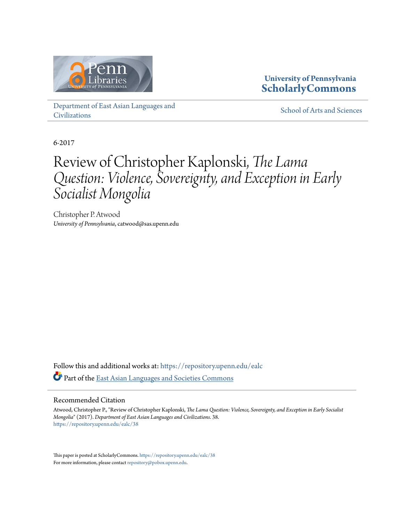

### **University of Pennsylvania [ScholarlyCommons](https://repository.upenn.edu/?utm_source=repository.upenn.edu%2Fealc%2F38&utm_medium=PDF&utm_campaign=PDFCoverPages)**

[Department of East Asian Languages and](https://repository.upenn.edu/ealc?utm_source=repository.upenn.edu%2Fealc%2F38&utm_medium=PDF&utm_campaign=PDFCoverPages) [Civilizations](https://repository.upenn.edu/ealc?utm_source=repository.upenn.edu%2Fealc%2F38&utm_medium=PDF&utm_campaign=PDFCoverPages)

[School of Arts and Sciences](https://repository.upenn.edu/sas?utm_source=repository.upenn.edu%2Fealc%2F38&utm_medium=PDF&utm_campaign=PDFCoverPages)

6-2017

# Review of Christopher Kaplonski, *The Lama Question: Violence, Sovereignty, and Exception in Early Socialist Mongolia*

Christopher P. Atwood *University of Pennsylvania*, catwood@sas.upenn.edu

Follow this and additional works at: [https://repository.upenn.edu/ealc](https://repository.upenn.edu/ealc?utm_source=repository.upenn.edu%2Fealc%2F38&utm_medium=PDF&utm_campaign=PDFCoverPages) Part of the [East Asian Languages and Societies Commons](http://network.bepress.com/hgg/discipline/481?utm_source=repository.upenn.edu%2Fealc%2F38&utm_medium=PDF&utm_campaign=PDFCoverPages)

### Recommended Citation

Atwood, Christopher P., "Review of Christopher Kaplonski, *The Lama Question: Violence, Sovereignty, and Exception in Early Socialist Mongolia*" (2017). *Department of East Asian Languages and Civilizations*. 38. [https://repository.upenn.edu/ealc/38](https://repository.upenn.edu/ealc/38?utm_source=repository.upenn.edu%2Fealc%2F38&utm_medium=PDF&utm_campaign=PDFCoverPages)

This paper is posted at ScholarlyCommons. <https://repository.upenn.edu/ealc/38> For more information, please contact [repository@pobox.upenn.edu.](mailto:repository@pobox.upenn.edu)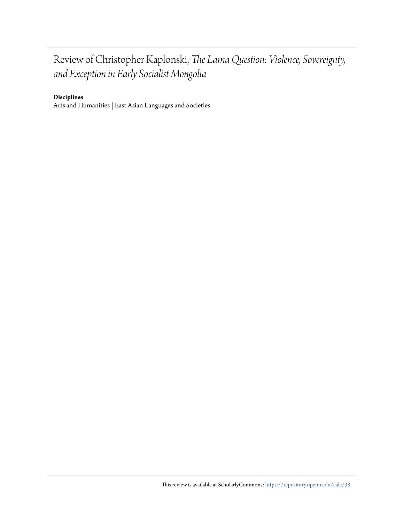## Review of Christopher Kaplonski, *The Lama Question: Violence, Sovereignty, and Exception in Early Socialist Mongolia*

### **Disciplines**

Arts and Humanities | East Asian Languages and Societies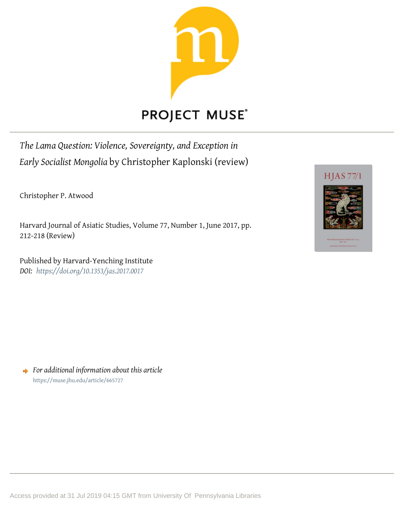

## **PROJECT MUSE®**

*The Lama Question: Violence, Sovereignty, and Exception in Early Socialist Mongolia* by Christopher Kaplonski (review)

Christopher P. Atwood

Harvard Journal of Asiatic Studies, Volume 77, Number 1, June 2017, pp. 212-218 (Review)

Published by Harvard-Yenching Institute *DOI: <https://doi.org/10.1353/jas.2017.0017>*



*For additional information about this article* <https://muse.jhu.edu/article/665727>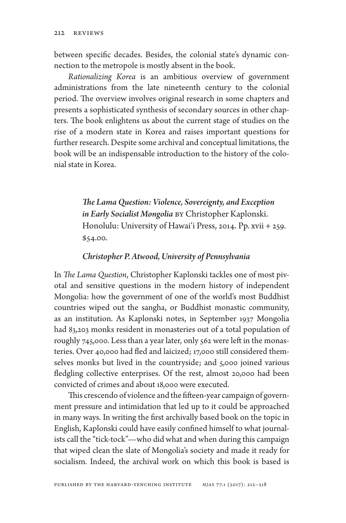between specific decades. Besides, the colonial state's dynamic connection to the metropole is mostly absent in the book.

*Rationalizing Korea* is an ambitious overview of government administrations from the late nineteenth century to the colonial period. The overview involves original research in some chapters and presents a sophisticated synthesis of secondary sources in other chapters. The book enlightens us about the current stage of studies on the rise of a modern state in Korea and raises important questions for further research. Despite some archival and conceptual limitations, the book will be an indispensable introduction to the history of the colonial state in Korea.

> *The Lama Question: Violence, Sovereignty, and Exception in Early Socialist Mongolia* by Christopher Kaplonski. Honolulu: University of Hawai'i Press, 2014. Pp. xvii + 259. \$54.00.

#### *Christopher P. Atwood, University of Pennsylvania*

In *The Lama Question*, Christopher Kaplonski tackles one of most pivotal and sensitive questions in the modern history of independent Mongolia: how the government of one of the world's most Buddhist countries wiped out the sangha, or Buddhist monastic community, as an institution. As Kaplonski notes, in September 1937 Mongolia had 83,203 monks resident in monasteries out of a total population of roughly 745,000. Less than a year later, only 562 were left in the monasteries. Over 40,000 had fled and laicized; 17,000 still considered themselves monks but lived in the countryside; and 5,000 joined various fledgling collective enterprises. Of the rest, almost 20,000 had been convicted of crimes and about 18,000 were executed.

This crescendo of violence and the fifteen-year campaign of government pressure and intimidation that led up to it could be approached in many ways. In writing the first archivally based book on the topic in English, Kaplonski could have easily confined himself to what journalists call the "tick-tock"—who did what and when during this campaign that wiped clean the slate of Mongolia's society and made it ready for socialism. Indeed, the archival work on which this book is based is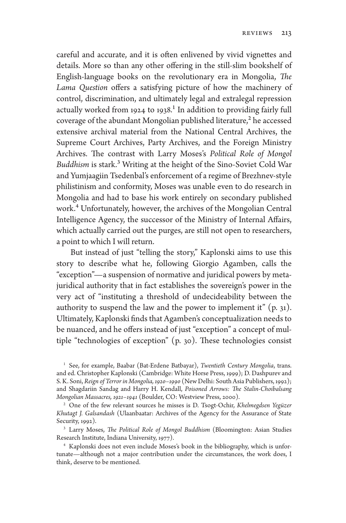careful and accurate, and it is often enlivened by vivid vignettes and details. More so than any other offering in the still-slim bookshelf of English-language books on the revolutionary era in Mongolia, *The Lama Question* offers a satisfying picture of how the machinery of control, discrimination, and ultimately legal and extralegal repression actually worked from 1924 to 1938.<sup>1</sup> In addition to providing fairly full coverage of the abundant Mongolian published literature,<sup>2</sup> he accessed extensive archival material from the National Central Archives, the Supreme Court Archives, Party Archives, and the Foreign Ministry Archives. The contrast with Larry Moses's *Political Role of Mongol Buddhism* is stark.3 Writing at the height of the Sino-Soviet Cold War and Yumjaagiin Tsedenbal's enforcement of a regime of Brezhnev-style philistinism and conformity, Moses was unable even to do research in Mongolia and had to base his work entirely on secondary published work.4 Unfortunately, however, the archives of the Mongolian Central Intelligence Agency, the successor of the Ministry of Internal Affairs, which actually carried out the purges, are still not open to researchers, a point to which I will return.

But instead of just "telling the story," Kaplonski aims to use this story to describe what he, following Giorgio Agamben, calls the "exception"—a suspension of normative and juridical powers by metajuridical authority that in fact establishes the sovereign's power in the very act of "instituting a threshold of undecideability between the authority to suspend the law and the power to implement it"  $(p, 31)$ . Ultimately, Kaplonski finds that Agamben's conceptualization needs to be nuanced, and he offers instead of just "exception" a concept of multiple "technologies of exception" (p. 30). These technologies consist

<sup>1</sup> See, for example, Baabar (Bat-Erdene Batbayar), *Twentieth Century Mongolia*, trans. and ed. Christopher Kaplonski (Cambridge: White Horse Press, 1999); D. Dashpurev and S. K. Soni, *Reign of Terror in Mongolia, 1920–1990* (New Delhi: South Asia Publishers, 1992); and Shagdariin Sandag and Harry H. Kendall, *Poisoned Arrows: The Stalin-Choibalsang Mongolian Massacres, 1921–1941* (Boulder, CO: Westview Press, 2000).

<sup>2</sup> One of the few relevant sources he misses is D. Tsogt-Ochir, *Khelmegdsen Yegüzer Khutagt J. Galsandash* (Ulaanbaatar: Archives of the Agency for the Assurance of State Security, 1992).

<sup>3</sup> Larry Moses, *The Political Role of Mongol Buddhism* (Bloomington: Asian Studies Research Institute, Indiana University, 1977).

<sup>4</sup> Kaplonski does not even include Moses's book in the bibliography, which is unfortunate—although not a major contribution under the circumstances, the work does, I think, deserve to be mentioned.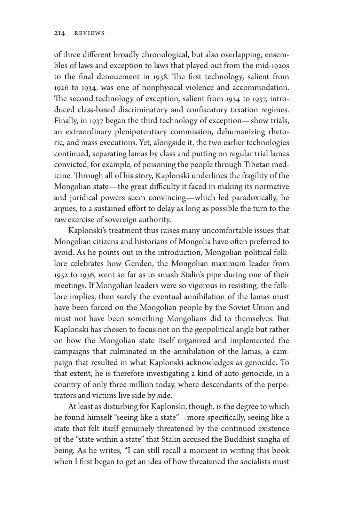of three different broadly chronological, but also overlapping, ensembles of laws and exception to laws that played out from the mid-1920s to the final denouement in 1938. The first technology, salient from 1926 to 1934, was one of nonphysical violence and accommodation. The second technology of exception, salient from 1934 to 1937, introduced class-based discriminatory and confiscatory taxation regimes. Finally, in 1937 began the third technology of exception—show trials, an extraordinary plenipotentiary commission, dehumanizing rhetoric, and mass executions. Yet, alongside it, the two earlier technologies continued, separating lamas by class and putting on regular trial lamas convicted, for example, of poisoning the people through Tibetan medicine. Through all of his story, Kaplonski underlines the fragility of the Mongolian state—the great difficulty it faced in making its normative and juridical powers seem convincing—which led paradoxically, he argues, to a sustained effort to delay as long as possible the turn to the raw exercise of sovereign authority.

Kaplonski's treatment thus raises many uncomfortable issues that Mongolian citizens and historians of Mongolia have often preferred to avoid. As he points out in the introduction, Mongolian political folklore celebrates how Genden, the Mongolian maximum leader from 1932 to 1936, went so far as to smash Stalin's pipe during one of their meetings. If Mongolian leaders were so vigorous in resisting, the folklore implies, then surely the eventual annihilation of the lamas must have been forced on the Mongolian people by the Soviet Union and must not have been something Mongolians did to themselves. But Kaplonski has chosen to focus not on the geopolitical angle but rather on how the Mongolian state itself organized and implemented the campaigns that culminated in the annihilation of the lamas, a campaign that resulted in what Kaplonski acknowledges as genocide. To that extent, he is therefore investigating a kind of auto-genocide, in a country of only three million today, where descendants of the perpetrators and victims live side by side.

At least as disturbing for Kaplonski, though, is the degree to which he found himself "seeing like a state"—more specifically, seeing like a state that felt itself genuinely threatened by the continued existence of the "state within a state" that Stalin accused the Buddhist sangha of being. As he writes, "I can still recall a moment in writing this book when I first began to get an idea of how threatened the socialists must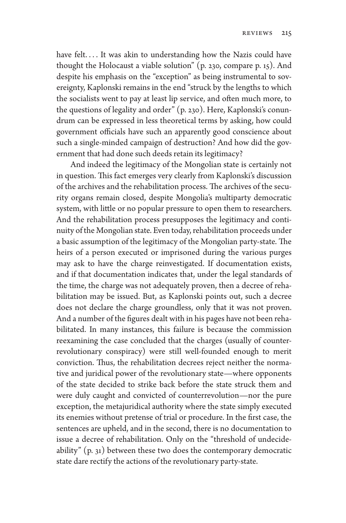have felt.... It was akin to understanding how the Nazis could have thought the Holocaust a viable solution" (p. 230, compare p. 15). And despite his emphasis on the "exception" as being instrumental to sovereignty, Kaplonski remains in the end "struck by the lengths to which the socialists went to pay at least lip service, and often much more, to the questions of legality and order" (p. 230). Here, Kaplonski's conundrum can be expressed in less theoretical terms by asking, how could government officials have such an apparently good conscience about such a single-minded campaign of destruction? And how did the government that had done such deeds retain its legitimacy?

And indeed the legitimacy of the Mongolian state is certainly not in question. This fact emerges very clearly from Kaplonski's discussion of the archives and the rehabilitation process. The archives of the security organs remain closed, despite Mongolia's multiparty democratic system, with little or no popular pressure to open them to researchers. And the rehabilitation process presupposes the legitimacy and continuity of the Mongolian state. Even today, rehabilitation proceeds under a basic assumption of the legitimacy of the Mongolian party-state. The heirs of a person executed or imprisoned during the various purges may ask to have the charge reinvestigated. If documentation exists, and if that documentation indicates that, under the legal standards of the time, the charge was not adequately proven, then a decree of rehabilitation may be issued. But, as Kaplonski points out, such a decree does not declare the charge groundless, only that it was not proven. And a number of the figures dealt with in his pages have not been rehabilitated. In many instances, this failure is because the commission reexamining the case concluded that the charges (usually of counterrevolutionary conspiracy) were still well-founded enough to merit conviction. Thus, the rehabilitation decrees reject neither the normative and juridical power of the revolutionary state—where opponents of the state decided to strike back before the state struck them and were duly caught and convicted of counterrevolution—nor the pure exception, the metajuridical authority where the state simply executed its enemies without pretense of trial or procedure. In the first case, the sentences are upheld, and in the second, there is no documentation to issue a decree of rehabilitation. Only on the "threshold of undecideability" (p. 31) between these two does the contemporary democratic state dare rectify the actions of the revolutionary party-state.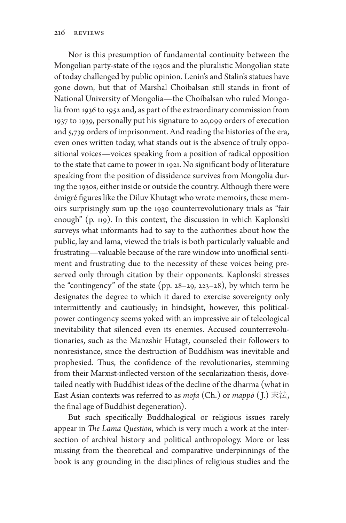Nor is this presumption of fundamental continuity between the Mongolian party-state of the 1930s and the pluralistic Mongolian state of today challenged by public opinion. Lenin's and Stalin's statues have gone down, but that of Marshal Choibalsan still stands in front of National University of Mongolia—the Choibalsan who ruled Mongolia from 1936 to 1952 and, as part of the extraordinary commission from 1937 to 1939, personally put his signature to 20,099 orders of execution and 5,739 orders of imprisonment. And reading the histories of the era, even ones written today, what stands out is the absence of truly oppositional voices—voices speaking from a position of radical opposition to the state that came to power in 1921. No significant body of literature speaking from the position of dissidence survives from Mongolia during the 1930s, either inside or outside the country. Although there were émigré figures like the Diluv Khutagt who wrote memoirs, these memoirs surprisingly sum up the 1930 counterrevolutionary trials as "fair enough" (p. 119). In this context, the discussion in which Kaplonski surveys what informants had to say to the authorities about how the public, lay and lama, viewed the trials is both particularly valuable and frustrating—valuable because of the rare window into unofficial sentiment and frustrating due to the necessity of these voices being preserved only through citation by their opponents. Kaplonski stresses the "contingency" of the state (pp. 28–29, 223–28), by which term he designates the degree to which it dared to exercise sovereignty only intermittently and cautiously; in hindsight, however, this politicalpower contingency seems yoked with an impressive air of teleological inevitability that silenced even its enemies. Accused counterrevolutionaries, such as the Manzshir Hutagt, counseled their followers to nonresistance, since the destruction of Buddhism was inevitable and prophesied. Thus, the confidence of the revolutionaries, stemming from their Marxist-inflected version of the secularization thesis, dovetailed neatly with Buddhist ideas of the decline of the dharma (what in East Asian contexts was referred to as *mofa* (Ch.) or *mappō* ( J.) 末法, the final age of Buddhist degeneration).

But such specifically Buddhalogical or religious issues rarely appear in *The Lama Question*, which is very much a work at the intersection of archival history and political anthropology. More or less missing from the theoretical and comparative underpinnings of the book is any grounding in the disciplines of religious studies and the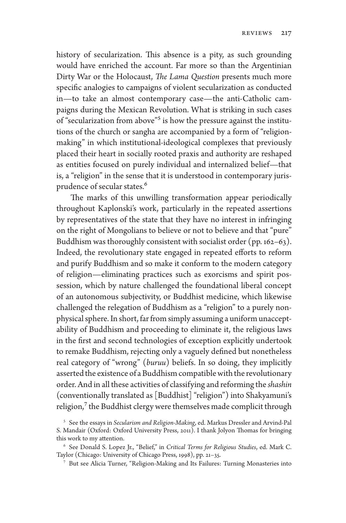history of secularization. This absence is a pity, as such grounding would have enriched the account. Far more so than the Argentinian Dirty War or the Holocaust, *The Lama Question* presents much more specific analogies to campaigns of violent secularization as conducted in—to take an almost contemporary case—the anti-Catholic campaigns during the Mexican Revolution. What is striking in such cases of "secularization from above"<sup>5</sup> is how the pressure against the institutions of the church or sangha are accompanied by a form of "religionmaking" in which institutional-ideological complexes that previously placed their heart in socially rooted praxis and authority are reshaped as entities focused on purely individual and internalized belief—that is, a "religion" in the sense that it is understood in contemporary jurisprudence of secular states.<sup>6</sup>

The marks of this unwilling transformation appear periodically throughout Kaplonski's work, particularly in the repeated assertions by representatives of the state that they have no interest in infringing on the right of Mongolians to believe or not to believe and that "pure" Buddhism was thoroughly consistent with socialist order (pp. 162–63). Indeed, the revolutionary state engaged in repeated efforts to reform and purify Buddhism and so make it conform to the modern category of religion—eliminating practices such as exorcisms and spirit possession, which by nature challenged the foundational liberal concept of an autonomous subjectivity, or Buddhist medicine, which likewise challenged the relegation of Buddhism as a "religion" to a purely nonphysical sphere. In short, far from simply assuming a uniform unacceptability of Buddhism and proceeding to eliminate it, the religious laws in the first and second technologies of exception explicitly undertook to remake Buddhism, rejecting only a vaguely defined but nonetheless real category of "wrong" (*buruu*) beliefs. In so doing, they implicitly asserted the existence of a Buddhism compatible with the revolutionary order. And in all these activities of classifying and reforming the *shashin* (conventionally translated as [Buddhist] "religion") into Shakyamuni's religion, $7$  the Buddhist clergy were themselves made complicit through

<sup>5</sup> See the essays in *Secularism and Religion-Making*, ed. Markus Dressler and Arvind-Pal S. Mandair (Oxford: Oxford University Press, 2011). I thank Jolyon Thomas for bringing this work to my attention.

<sup>6</sup> See Donald S. Lopez Jr., "Belief," in *Critical Terms for Religious Studies*, ed. Mark C. Taylor (Chicago: University of Chicago Press, 1998), pp. 21–35.

<sup>7</sup> But see Alicia Turner, "Religion-Making and Its Failures: Turning Monasteries into